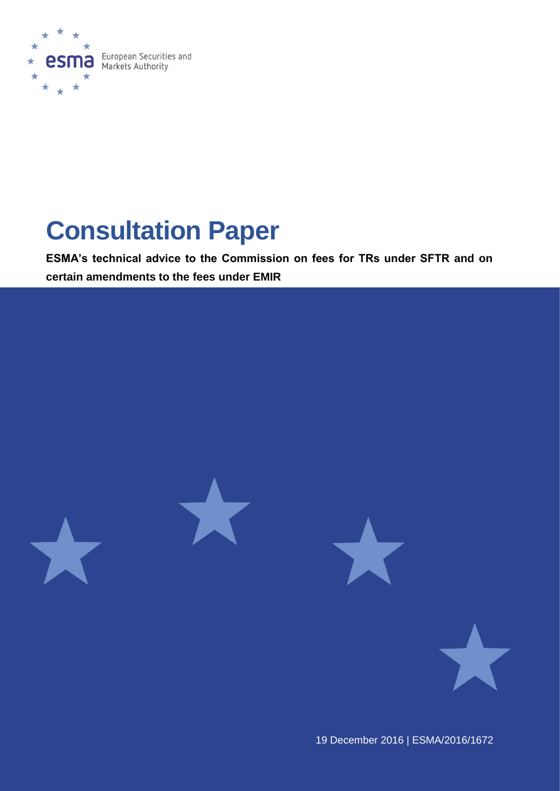

# **Consultation Paper**

**ESMA's technical advice to the Commission on fees for TRs under SFTR and on certain amendments to the fees under EMIR** 



19 December 2016 | ESMA/2016/1672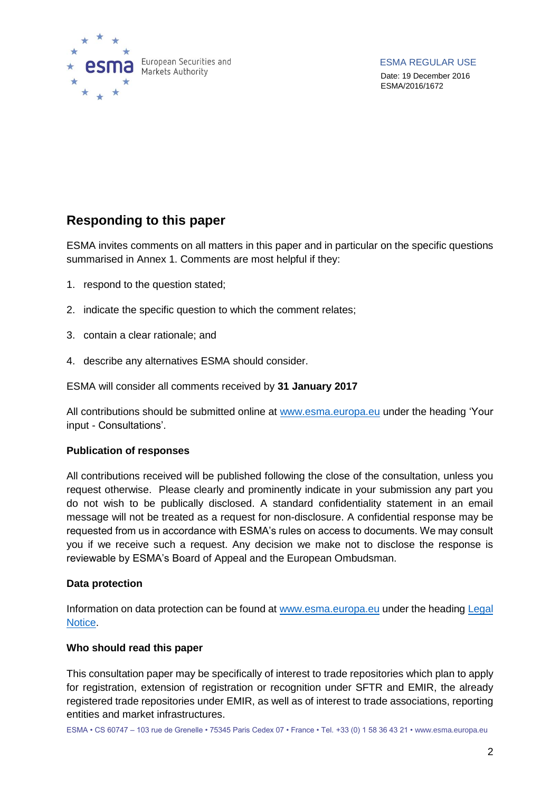

### **Responding to this paper**

ESMA invites comments on all matters in this paper and in particular on the specific questions summarised in Annex 1. Comments are most helpful if they:

- 1. respond to the question stated;
- 2. indicate the specific question to which the comment relates;
- 3. contain a clear rationale; and
- 4. describe any alternatives ESMA should consider.

ESMA will consider all comments received by **31 January 2017**

All contributions should be submitted online at [www.esma.europa.eu](http://www.esma.europa.eu/) under the heading 'Your input - Consultations'.

#### **Publication of responses**

All contributions received will be published following the close of the consultation, unless you request otherwise. Please clearly and prominently indicate in your submission any part you do not wish to be publically disclosed. A standard confidentiality statement in an email message will not be treated as a request for non-disclosure. A confidential response may be requested from us in accordance with ESMA's rules on access to documents. We may consult you if we receive such a request. Any decision we make not to disclose the response is reviewable by ESMA's Board of Appeal and the European Ombudsman.

#### **Data protection**

Information on data protection can be found at [www.esma.europa.eu](http://www.esma.europa.eu/) under the heading Legal [Notice.](http://www.esma.europa.eu/legal-notice)

#### **Who should read this paper**

This consultation paper may be specifically of interest to trade repositories which plan to apply for registration, extension of registration or recognition under SFTR and EMIR, the already registered trade repositories under EMIR, as well as of interest to trade associations, reporting entities and market infrastructures.

ESMA • CS 60747 – 103 rue de Grenelle • 75345 Paris Cedex 07 • France • Tel. +33 (0) 1 58 36 43 21 • www.esma.europa.eu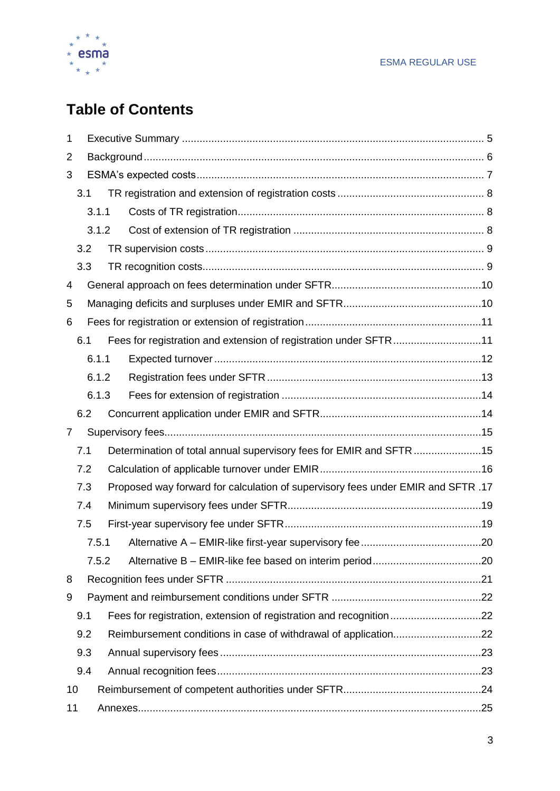

# **Table of Contents**

| 1              |     |       |  |                                                                                  |  |  |  |
|----------------|-----|-------|--|----------------------------------------------------------------------------------|--|--|--|
| 2              |     |       |  |                                                                                  |  |  |  |
| 3              |     |       |  |                                                                                  |  |  |  |
|                | 3.1 |       |  |                                                                                  |  |  |  |
|                |     | 3.1.1 |  |                                                                                  |  |  |  |
|                |     | 3.1.2 |  |                                                                                  |  |  |  |
|                | 3.2 |       |  |                                                                                  |  |  |  |
|                | 3.3 |       |  |                                                                                  |  |  |  |
| 4              |     |       |  |                                                                                  |  |  |  |
| 5              |     |       |  |                                                                                  |  |  |  |
| 6              |     |       |  |                                                                                  |  |  |  |
|                | 6.1 |       |  | Fees for registration and extension of registration under SFTR11                 |  |  |  |
|                |     | 6.1.1 |  |                                                                                  |  |  |  |
|                |     | 6.1.2 |  |                                                                                  |  |  |  |
|                |     | 6.1.3 |  |                                                                                  |  |  |  |
|                | 6.2 |       |  |                                                                                  |  |  |  |
| $\overline{7}$ |     |       |  |                                                                                  |  |  |  |
|                | 7.1 |       |  | Determination of total annual supervisory fees for EMIR and SFTR 15              |  |  |  |
|                | 7.2 |       |  |                                                                                  |  |  |  |
|                | 7.3 |       |  | Proposed way forward for calculation of supervisory fees under EMIR and SFTR .17 |  |  |  |
|                | 7.4 |       |  |                                                                                  |  |  |  |
|                | 7.5 |       |  |                                                                                  |  |  |  |
|                |     | 7.5.1 |  |                                                                                  |  |  |  |
|                |     | 7.5.2 |  |                                                                                  |  |  |  |
| 8              |     |       |  |                                                                                  |  |  |  |
| 9              |     |       |  |                                                                                  |  |  |  |
|                | 9.1 |       |  |                                                                                  |  |  |  |
|                | 9.2 |       |  |                                                                                  |  |  |  |
|                | 9.3 |       |  |                                                                                  |  |  |  |
|                | 9.4 |       |  |                                                                                  |  |  |  |
| 10             |     |       |  |                                                                                  |  |  |  |
| 11             |     |       |  |                                                                                  |  |  |  |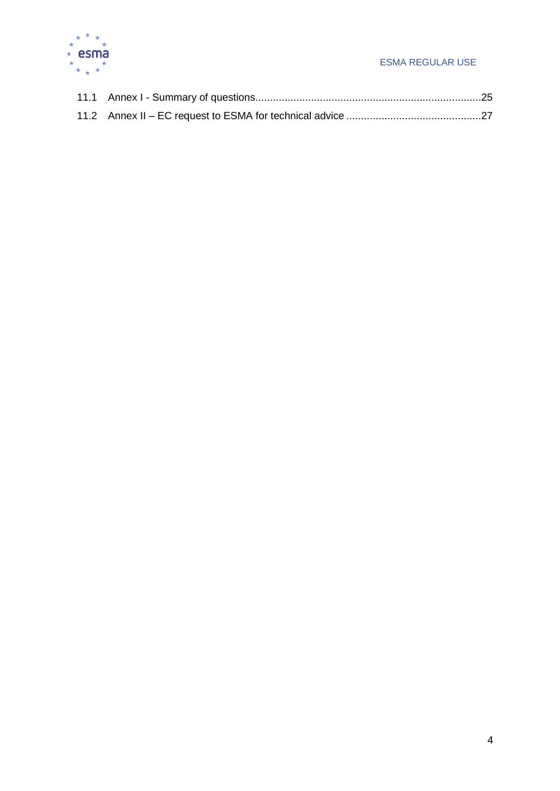

#### ESMA REGULAR USE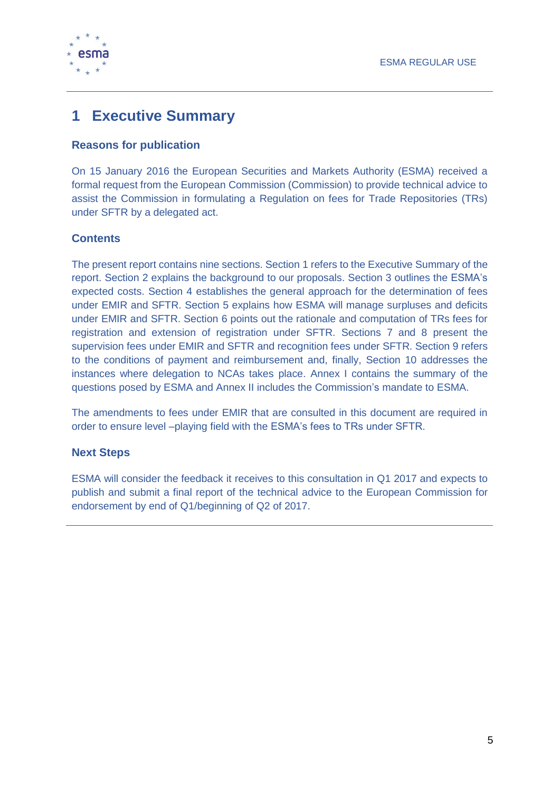

# <span id="page-4-0"></span>**1 Executive Summary**

#### **Reasons for publication**

On 15 January 2016 the European Securities and Markets Authority (ESMA) received a formal request from the European Commission (Commission) to provide technical advice to assist the Commission in formulating a Regulation on fees for Trade Repositories (TRs) under SFTR by a delegated act.

#### **Contents**

The present report contains nine sections. Section 1 refers to the Executive Summary of the report. Section 2 explains the background to our proposals. Section 3 outlines the ESMA's expected costs. Section 4 establishes the general approach for the determination of fees under EMIR and SFTR. Section 5 explains how ESMA will manage surpluses and deficits under EMIR and SFTR. Section 6 points out the rationale and computation of TRs fees for registration and extension of registration under SFTR. Sections 7 and 8 present the supervision fees under EMIR and SFTR and recognition fees under SFTR. Section 9 refers to the conditions of payment and reimbursement and, finally, Section 10 addresses the instances where delegation to NCAs takes place. Annex I contains the summary of the questions posed by ESMA and Annex II includes the Commission's mandate to ESMA.

The amendments to fees under EMIR that are consulted in this document are required in order to ensure level –playing field with the ESMA's fees to TRs under SFTR.

#### **Next Steps**

ESMA will consider the feedback it receives to this consultation in Q1 2017 and expects to publish and submit a final report of the technical advice to the European Commission for endorsement by end of Q1/beginning of Q2 of 2017.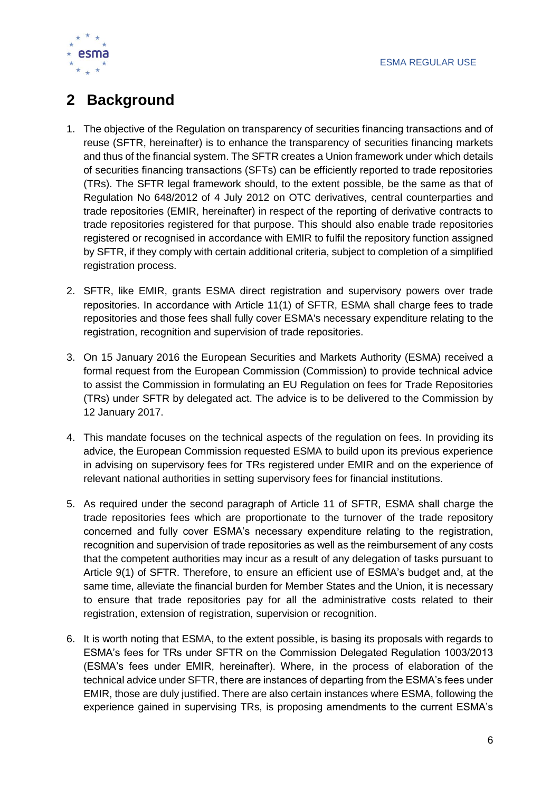

# <span id="page-5-0"></span>**2 Background**

- 1. The objective of the Regulation on transparency of securities financing transactions and of reuse (SFTR, hereinafter) is to enhance the transparency of securities financing markets and thus of the financial system. The SFTR creates a Union framework under which details of securities financing transactions (SFTs) can be efficiently reported to trade repositories (TRs). The SFTR legal framework should, to the extent possible, be the same as that of Regulation No 648/2012 of 4 July 2012 on OTC derivatives, central counterparties and trade repositories (EMIR, hereinafter) in respect of the reporting of derivative contracts to trade repositories registered for that purpose. This should also enable trade repositories registered or recognised in accordance with EMIR to fulfil the repository function assigned by SFTR, if they comply with certain additional criteria, subject to completion of a simplified registration process.
- 2. SFTR, like EMIR, grants ESMA direct registration and supervisory powers over trade repositories. In accordance with Article 11(1) of SFTR, ESMA shall charge fees to trade repositories and those fees shall fully cover ESMA's necessary expenditure relating to the registration, recognition and supervision of trade repositories.
- 3. On 15 January 2016 the European Securities and Markets Authority (ESMA) received a formal request from the European Commission (Commission) to provide technical advice to assist the Commission in formulating an EU Regulation on fees for Trade Repositories (TRs) under SFTR by delegated act. The advice is to be delivered to the Commission by 12 January 2017.
- 4. This mandate focuses on the technical aspects of the regulation on fees. In providing its advice, the European Commission requested ESMA to build upon its previous experience in advising on supervisory fees for TRs registered under EMIR and on the experience of relevant national authorities in setting supervisory fees for financial institutions.
- <span id="page-5-1"></span>5. As required under the second paragraph of Article 11 of SFTR, ESMA shall charge the trade repositories fees which are proportionate to the turnover of the trade repository concerned and fully cover ESMA's necessary expenditure relating to the registration, recognition and supervision of trade repositories as well as the reimbursement of any costs that the competent authorities may incur as a result of any delegation of tasks pursuant to Article 9(1) of SFTR. Therefore, to ensure an efficient use of ESMA's budget and, at the same time, alleviate the financial burden for Member States and the Union, it is necessary to ensure that trade repositories pay for all the administrative costs related to their registration, extension of registration, supervision or recognition.
- 6. It is worth noting that ESMA, to the extent possible, is basing its proposals with regards to ESMA's fees for TRs under SFTR on the Commission Delegated Regulation 1003/2013 (ESMA's fees under EMIR, hereinafter). Where, in the process of elaboration of the technical advice under SFTR, there are instances of departing from the ESMA's fees under EMIR, those are duly justified. There are also certain instances where ESMA, following the experience gained in supervising TRs, is proposing amendments to the current ESMA's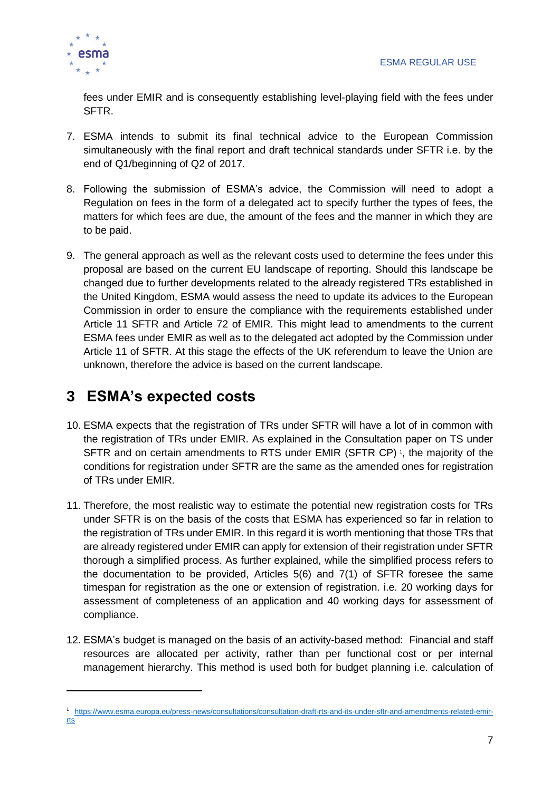

fees under EMIR and is consequently establishing level-playing field with the fees under SFTR.

- 7. ESMA intends to submit its final technical advice to the European Commission simultaneously with the final report and draft technical standards under SFTR i.e. by the end of Q1/beginning of Q2 of 2017.
- 8. Following the submission of ESMA's advice, the Commission will need to adopt a Regulation on fees in the form of a delegated act to specify further the types of fees, the matters for which fees are due, the amount of the fees and the manner in which they are to be paid.
- 9. The general approach as well as the relevant costs used to determine the fees under this proposal are based on the current EU landscape of reporting. Should this landscape be changed due to further developments related to the already registered TRs established in the United Kingdom, ESMA would assess the need to update its advices to the European Commission in order to ensure the compliance with the requirements established under Article 11 SFTR and Article 72 of EMIR. This might lead to amendments to the current ESMA fees under EMIR as well as to the delegated act adopted by the Commission under Article 11 of SFTR. At this stage the effects of the UK referendum to leave the Union are unknown, therefore the advice is based on the current landscape.

# <span id="page-6-0"></span>**3 ESMA's expected costs**

- 10. ESMA expects that the registration of TRs under SFTR will have a lot of in common with the registration of TRs under EMIR. As explained in the Consultation paper on TS under SFTR and on certain amendments to RTS under EMIR (SFTR CP)<sup>1</sup>, the majority of the conditions for registration under SFTR are the same as the amended ones for registration of TRs under EMIR.
- 11. Therefore, the most realistic way to estimate the potential new registration costs for TRs under SFTR is on the basis of the costs that ESMA has experienced so far in relation to the registration of TRs under EMIR. In this regard it is worth mentioning that those TRs that are already registered under EMIR can apply for extension of their registration under SFTR thorough a simplified process. As further explained, while the simplified process refers to the documentation to be provided, Articles 5(6) and 7(1) of SFTR foresee the same timespan for registration as the one or extension of registration. i.e. 20 working days for assessment of completeness of an application and 40 working days for assessment of compliance.
- 12. ESMA's budget is managed on the basis of an activity-based method: Financial and staff resources are allocated per activity, rather than per functional cost or per internal management hierarchy. This method is used both for budget planning i.e. calculation of

<sup>1</sup> [https://www.esma.europa.eu/press-news/consultations/consultation-draft-rts-and-its-under-sftr-and-amendments-related-emir](https://www.esma.europa.eu/press-news/consultations/consultation-draft-rts-and-its-under-sftr-and-amendments-related-emir-rts)[rts](https://www.esma.europa.eu/press-news/consultations/consultation-draft-rts-and-its-under-sftr-and-amendments-related-emir-rts)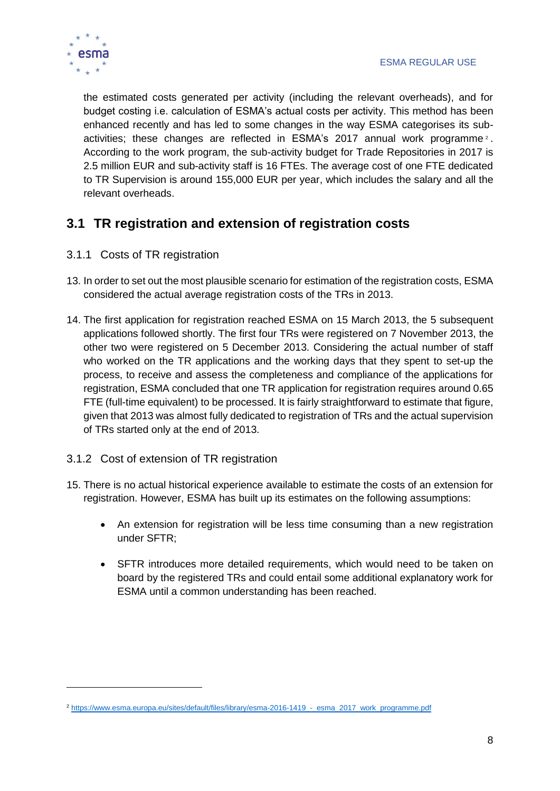

1

the estimated costs generated per activity (including the relevant overheads), and for budget costing i.e. calculation of ESMA's actual costs per activity. This method has been enhanced recently and has led to some changes in the way ESMA categorises its subactivities; these changes are reflected in ESMA's 2017 annual work programme<sup>2</sup>. According to the work program, the sub-activity budget for Trade Repositories in 2017 is 2.5 million EUR and sub-activity staff is 16 FTEs. The average cost of one FTE dedicated to TR Supervision is around 155,000 EUR per year, which includes the salary and all the relevant overheads.

### <span id="page-7-0"></span>**3.1 TR registration and extension of registration costs**

- <span id="page-7-1"></span>3.1.1 Costs of TR registration
- 13. In order to set out the most plausible scenario for estimation of the registration costs, ESMA considered the actual average registration costs of the TRs in 2013.
- 14. The first application for registration reached ESMA on 15 March 2013, the 5 subsequent applications followed shortly. The first four TRs were registered on 7 November 2013, the other two were registered on 5 December 2013. Considering the actual number of staff who worked on the TR applications and the working days that they spent to set-up the process, to receive and assess the completeness and compliance of the applications for registration, ESMA concluded that one TR application for registration requires around 0.65 FTE (full-time equivalent) to be processed. It is fairly straightforward to estimate that figure, given that 2013 was almost fully dedicated to registration of TRs and the actual supervision of TRs started only at the end of 2013.
- <span id="page-7-2"></span>3.1.2 Cost of extension of TR registration
- 15. There is no actual historical experience available to estimate the costs of an extension for registration. However, ESMA has built up its estimates on the following assumptions:
	- An extension for registration will be less time consuming than a new registration under SFTR;
	- SFTR introduces more detailed requirements, which would need to be taken on board by the registered TRs and could entail some additional explanatory work for ESMA until a common understanding has been reached.

<sup>&</sup>lt;sup>2</sup> https://www.esma.europa.eu/sites/default/files/library/esma-2016-1419\_-\_esma\_2017\_work\_programme.pdf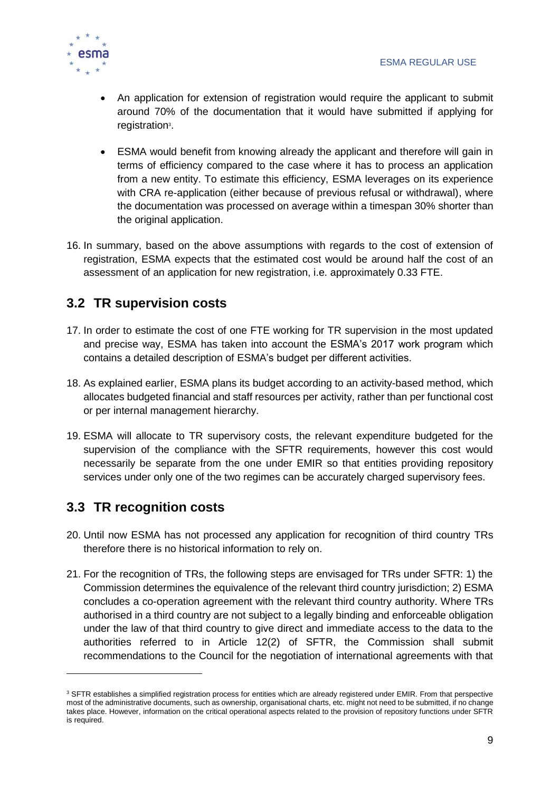

- An application for extension of registration would require the applicant to submit around 70% of the documentation that it would have submitted if applying for registration<sup>3</sup>.
- ESMA would benefit from knowing already the applicant and therefore will gain in terms of efficiency compared to the case where it has to process an application from a new entity. To estimate this efficiency, ESMA leverages on its experience with CRA re-application (either because of previous refusal or withdrawal), where the documentation was processed on average within a timespan 30% shorter than the original application.
- 16. In summary, based on the above assumptions with regards to the cost of extension of registration, ESMA expects that the estimated cost would be around half the cost of an assessment of an application for new registration, i.e. approximately 0.33 FTE.

### <span id="page-8-0"></span>**3.2 TR supervision costs**

- 17. In order to estimate the cost of one FTE working for TR supervision in the most updated and precise way, ESMA has taken into account the ESMA's 2017 work program which contains a detailed description of ESMA's budget per different activities.
- 18. As explained earlier, ESMA plans its budget according to an activity-based method, which allocates budgeted financial and staff resources per activity, rather than per functional cost or per internal management hierarchy.
- 19. ESMA will allocate to TR supervisory costs, the relevant expenditure budgeted for the supervision of the compliance with the SFTR requirements, however this cost would necessarily be separate from the one under EMIR so that entities providing repository services under only one of the two regimes can be accurately charged supervisory fees.

### <span id="page-8-1"></span>**3.3 TR recognition costs**

1

- 20. Until now ESMA has not processed any application for recognition of third country TRs therefore there is no historical information to rely on.
- 21. For the recognition of TRs, the following steps are envisaged for TRs under SFTR: 1) the Commission determines the equivalence of the relevant third country jurisdiction; 2) ESMA concludes a co-operation agreement with the relevant third country authority. Where TRs authorised in a third country are not subject to a legally binding and enforceable obligation under the law of that third country to give direct and immediate access to the data to the authorities referred to in Article 12(2) of SFTR, the Commission shall submit recommendations to the Council for the negotiation of international agreements with that

<sup>&</sup>lt;sup>3</sup> SFTR establishes a simplified registration process for entities which are already registered under EMIR. From that perspective most of the administrative documents, such as ownership, organisational charts, etc. might not need to be submitted, if no change takes place. However, information on the critical operational aspects related to the provision of repository functions under SFTR is required.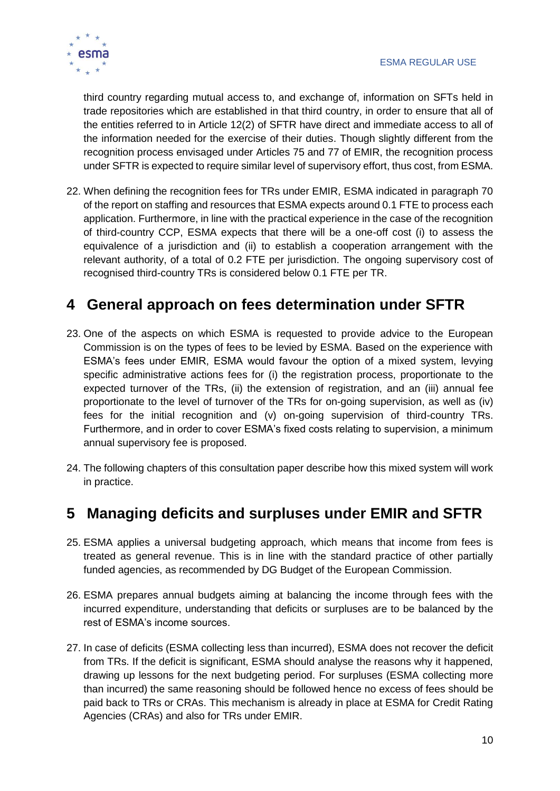

third country regarding mutual access to, and exchange of, information on SFTs held in trade repositories which are established in that third country, in order to ensure that all of the entities referred to in Article 12(2) of SFTR have direct and immediate access to all of the information needed for the exercise of their duties. Though slightly different from the recognition process envisaged under Articles 75 and 77 of EMIR, the recognition process under SFTR is expected to require similar level of supervisory effort, thus cost, from ESMA.

22. When defining the recognition fees for TRs under EMIR, ESMA indicated in paragraph 70 of the report on staffing and resources that ESMA expects around 0.1 FTE to process each application. Furthermore, in line with the practical experience in the case of the recognition of third-country CCP, ESMA expects that there will be a one-off cost (i) to assess the equivalence of a jurisdiction and (ii) to establish a cooperation arrangement with the relevant authority, of a total of 0.2 FTE per jurisdiction. The ongoing supervisory cost of recognised third-country TRs is considered below 0.1 FTE per TR.

# <span id="page-9-0"></span>**4 General approach on fees determination under SFTR**

- 23. One of the aspects on which ESMA is requested to provide advice to the European Commission is on the types of fees to be levied by ESMA. Based on the experience with ESMA's fees under EMIR, ESMA would favour the option of a mixed system, levying specific administrative actions fees for (i) the registration process, proportionate to the expected turnover of the TRs, (ii) the extension of registration, and an (iii) annual fee proportionate to the level of turnover of the TRs for on-going supervision, as well as (iv) fees for the initial recognition and (v) on-going supervision of third-country TRs. Furthermore, and in order to cover ESMA's fixed costs relating to supervision, a minimum annual supervisory fee is proposed.
- 24. The following chapters of this consultation paper describe how this mixed system will work in practice.

# <span id="page-9-1"></span>**5 Managing deficits and surpluses under EMIR and SFTR**

- 25. ESMA applies a universal budgeting approach, which means that income from fees is treated as general revenue. This is in line with the standard practice of other partially funded agencies, as recommended by DG Budget of the European Commission.
- 26. ESMA prepares annual budgets aiming at balancing the income through fees with the incurred expenditure, understanding that deficits or surpluses are to be balanced by the rest of ESMA's income sources.
- 27. In case of deficits (ESMA collecting less than incurred), ESMA does not recover the deficit from TRs. If the deficit is significant, ESMA should analyse the reasons why it happened, drawing up lessons for the next budgeting period. For surpluses (ESMA collecting more than incurred) the same reasoning should be followed hence no excess of fees should be paid back to TRs or CRAs. This mechanism is already in place at ESMA for Credit Rating Agencies (CRAs) and also for TRs under EMIR.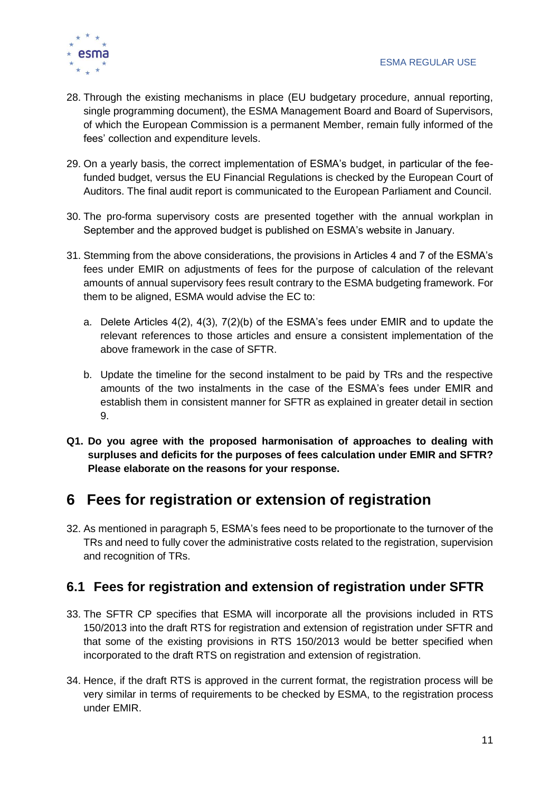

- 28. Through the existing mechanisms in place (EU budgetary procedure, annual reporting, single programming document), the ESMA Management Board and Board of Supervisors, of which the European Commission is a permanent Member, remain fully informed of the fees' collection and expenditure levels.
- 29. On a yearly basis, the correct implementation of ESMA's budget, in particular of the feefunded budget, versus the EU Financial Regulations is checked by the European Court of Auditors. The final audit report is communicated to the European Parliament and Council.
- 30. The pro-forma supervisory costs are presented together with the annual workplan in September and the approved budget is published on ESMA's website in January.
- 31. Stemming from the above considerations, the provisions in Articles 4 and 7 of the ESMA's fees under EMIR on adjustments of fees for the purpose of calculation of the relevant amounts of annual supervisory fees result contrary to the ESMA budgeting framework. For them to be aligned, ESMA would advise the EC to:
	- a. Delete Articles 4(2), 4(3), 7(2)(b) of the ESMA's fees under EMIR and to update the relevant references to those articles and ensure a consistent implementation of the above framework in the case of SFTR.
	- b. Update the timeline for the second instalment to be paid by TRs and the respective amounts of the two instalments in the case of the ESMA's fees under EMIR and establish them in consistent manner for SFTR as explained in greater detail in section [9.](#page-21-0)
- <span id="page-10-2"></span>**Q1. Do you agree with the proposed harmonisation of approaches to dealing with surpluses and deficits for the purposes of fees calculation under EMIR and SFTR? Please elaborate on the reasons for your response.**

### <span id="page-10-0"></span>**6 Fees for registration or extension of registration**

32. As mentioned in paragraph [5,](#page-5-1) ESMA's fees need to be proportionate to the turnover of the TRs and need to fully cover the administrative costs related to the registration, supervision and recognition of TRs.

### <span id="page-10-1"></span>**6.1 Fees for registration and extension of registration under SFTR**

- 33. The SFTR CP specifies that ESMA will incorporate all the provisions included in RTS 150/2013 into the draft RTS for registration and extension of registration under SFTR and that some of the existing provisions in RTS 150/2013 would be better specified when incorporated to the draft RTS on registration and extension of registration.
- 34. Hence, if the draft RTS is approved in the current format, the registration process will be very similar in terms of requirements to be checked by ESMA, to the registration process under EMIR.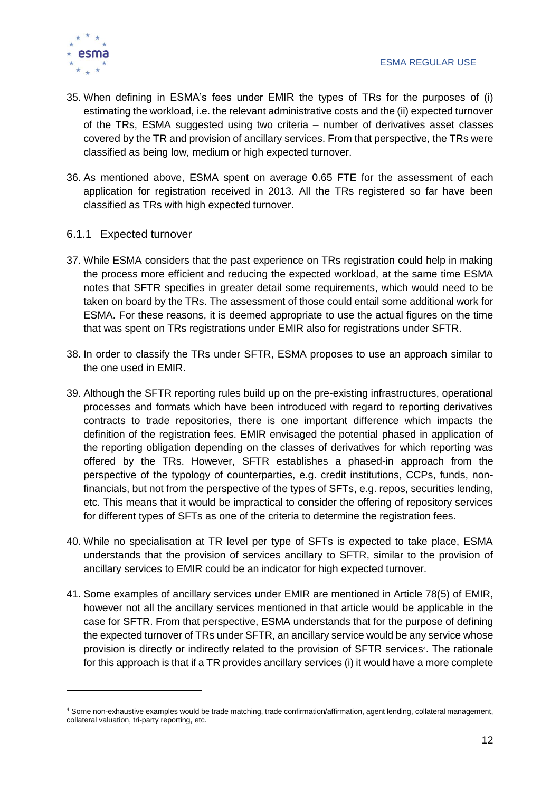

- 35. When defining in ESMA's fees under EMIR the types of TRs for the purposes of (i) estimating the workload, i.e. the relevant administrative costs and the (ii) expected turnover of the TRs, ESMA suggested using two criteria – number of derivatives asset classes covered by the TR and provision of ancillary services. From that perspective, the TRs were classified as being low, medium or high expected turnover.
- 36. As mentioned above, ESMA spent on average 0.65 FTE for the assessment of each application for registration received in 2013. All the TRs registered so far have been classified as TRs with high expected turnover.
- <span id="page-11-0"></span>6.1.1 Expected turnover
- 37. While ESMA considers that the past experience on TRs registration could help in making the process more efficient and reducing the expected workload, at the same time ESMA notes that SFTR specifies in greater detail some requirements, which would need to be taken on board by the TRs. The assessment of those could entail some additional work for ESMA. For these reasons, it is deemed appropriate to use the actual figures on the time that was spent on TRs registrations under EMIR also for registrations under SFTR.
- 38. In order to classify the TRs under SFTR, ESMA proposes to use an approach similar to the one used in EMIR.
- 39. Although the SFTR reporting rules build up on the pre-existing infrastructures, operational processes and formats which have been introduced with regard to reporting derivatives contracts to trade repositories, there is one important difference which impacts the definition of the registration fees. EMIR envisaged the potential phased in application of the reporting obligation depending on the classes of derivatives for which reporting was offered by the TRs. However, SFTR establishes a phased-in approach from the perspective of the typology of counterparties, e.g. credit institutions, CCPs, funds, nonfinancials, but not from the perspective of the types of SFTs, e.g. repos, securities lending, etc. This means that it would be impractical to consider the offering of repository services for different types of SFTs as one of the criteria to determine the registration fees.
- <span id="page-11-1"></span>40. While no specialisation at TR level per type of SFTs is expected to take place, ESMA understands that the provision of services ancillary to SFTR, similar to the provision of ancillary services to EMIR could be an indicator for high expected turnover.
- 41. Some examples of ancillary services under EMIR are mentioned in Article 78(5) of EMIR, however not all the ancillary services mentioned in that article would be applicable in the case for SFTR. From that perspective, ESMA understands that for the purpose of defining the expected turnover of TRs under SFTR, an ancillary service would be any service whose provision is directly or indirectly related to the provision of SFTR services<sup>4</sup>. The rationale for this approach is that if a TR provides ancillary services (i) it would have a more complete

<sup>4</sup> Some non-exhaustive examples would be trade matching, trade confirmation/affirmation, agent lending, collateral management, collateral valuation, tri-party reporting, etc.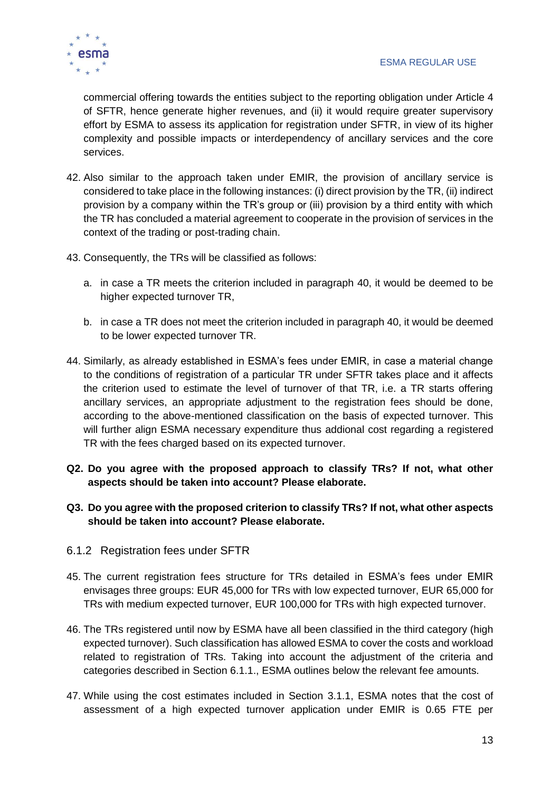

commercial offering towards the entities subject to the reporting obligation under Article 4 of SFTR, hence generate higher revenues, and (ii) it would require greater supervisory effort by ESMA to assess its application for registration under SFTR, in view of its higher complexity and possible impacts or interdependency of ancillary services and the core services.

- 42. Also similar to the approach taken under EMIR, the provision of ancillary service is considered to take place in the following instances: (i) direct provision by the TR, (ii) indirect provision by a company within the TR's group or (iii) provision by a third entity with which the TR has concluded a material agreement to cooperate in the provision of services in the context of the trading or post-trading chain.
- 43. Consequently, the TRs will be classified as follows:
	- a. in case a TR meets the criterion included in paragraph [40,](#page-11-1) it would be deemed to be higher expected turnover TR,
	- b. in case a TR does not meet the criterion included in paragraph [40,](#page-11-1) it would be deemed to be lower expected turnover TR.
- 44. Similarly, as already established in ESMA's fees under EMIR, in case a material change to the conditions of registration of a particular TR under SFTR takes place and it affects the criterion used to estimate the level of turnover of that TR, i.e. a TR starts offering ancillary services, an appropriate adjustment to the registration fees should be done, according to the above-mentioned classification on the basis of expected turnover. This will further align ESMA necessary expenditure thus addional cost regarding a registered TR with the fees charged based on its expected turnover.
- <span id="page-12-2"></span>**Q2. Do you agree with the proposed approach to classify TRs? If not, what other aspects should be taken into account? Please elaborate.**
- <span id="page-12-3"></span>**Q3. Do you agree with the proposed criterion to classify TRs? If not, what other aspects should be taken into account? Please elaborate.**
- <span id="page-12-0"></span>6.1.2 Registration fees under SFTR
- 45. The current registration fees structure for TRs detailed in ESMA's fees under EMIR envisages three groups: EUR 45,000 for TRs with low expected turnover, EUR 65,000 for TRs with medium expected turnover, EUR 100,000 for TRs with high expected turnover.
- 46. The TRs registered until now by ESMA have all been classified in the third category (high expected turnover). Such classification has allowed ESMA to cover the costs and workload related to registration of TRs. Taking into account the adjustment of the criteria and categories described in Section [6.1.1.](#page-11-0), ESMA outlines below the relevant fee amounts.
- <span id="page-12-1"></span>47. While using the cost estimates included in Section [3.1.1,](#page-7-1) ESMA notes that the cost of assessment of a high expected turnover application under EMIR is 0.65 FTE per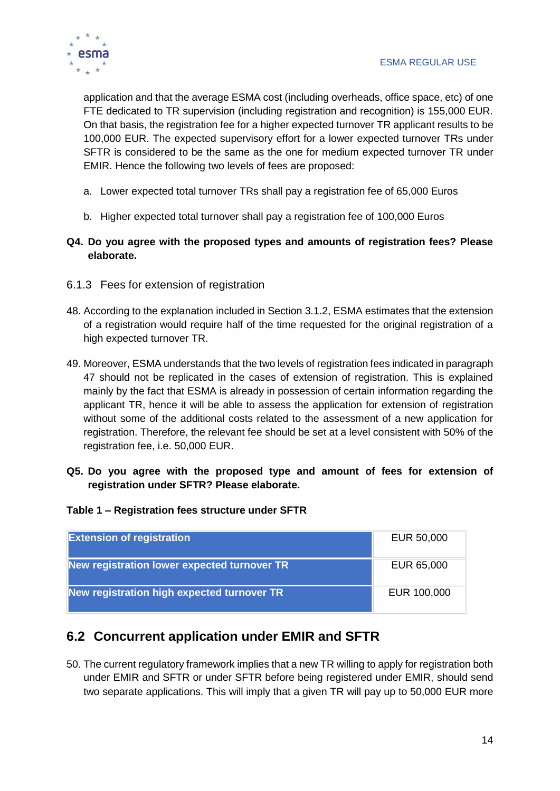

application and that the average ESMA cost (including overheads, office space, etc) of one FTE dedicated to TR supervision (including registration and recognition) is 155,000 EUR. On that basis, the registration fee for a higher expected turnover TR applicant results to be 100,000 EUR. The expected supervisory effort for a lower expected turnover TRs under SFTR is considered to be the same as the one for medium expected turnover TR under EMIR. Hence the following two levels of fees are proposed:

- a. Lower expected total turnover TRs shall pay a registration fee of 65,000 Euros
- b. Higher expected total turnover shall pay a registration fee of 100,000 Euros
- <span id="page-13-2"></span>**Q4. Do you agree with the proposed types and amounts of registration fees? Please elaborate.**
- <span id="page-13-0"></span>6.1.3 Fees for extension of registration
- 48. According to the explanation included in Section [3.1.2,](#page-7-2) ESMA estimates that the extension of a registration would require half of the time requested for the original registration of a high expected turnover TR.
- 49. Moreover, ESMA understands that the two levels of registration fees indicated in paragraph [47](#page-12-1) should not be replicated in the cases of extension of registration. This is explained mainly by the fact that ESMA is already in possession of certain information regarding the applicant TR, hence it will be able to assess the application for extension of registration without some of the additional costs related to the assessment of a new application for registration. Therefore, the relevant fee should be set at a level consistent with 50% of the registration fee, i.e. 50,000 EUR.
- <span id="page-13-3"></span>**Q5. Do you agree with the proposed type and amount of fees for extension of registration under SFTR? Please elaborate.**

#### **Table 1 – Registration fees structure under SFTR**

| <b>Extension of registration</b>            | EUR 50,000  |
|---------------------------------------------|-------------|
| New registration lower expected turnover TR | EUR 65,000  |
| New registration high expected turnover TR  | EUR 100,000 |

### <span id="page-13-1"></span>**6.2 Concurrent application under EMIR and SFTR**

50. The current regulatory framework implies that a new TR willing to apply for registration both under EMIR and SFTR or under SFTR before being registered under EMIR, should send two separate applications. This will imply that a given TR will pay up to 50,000 EUR more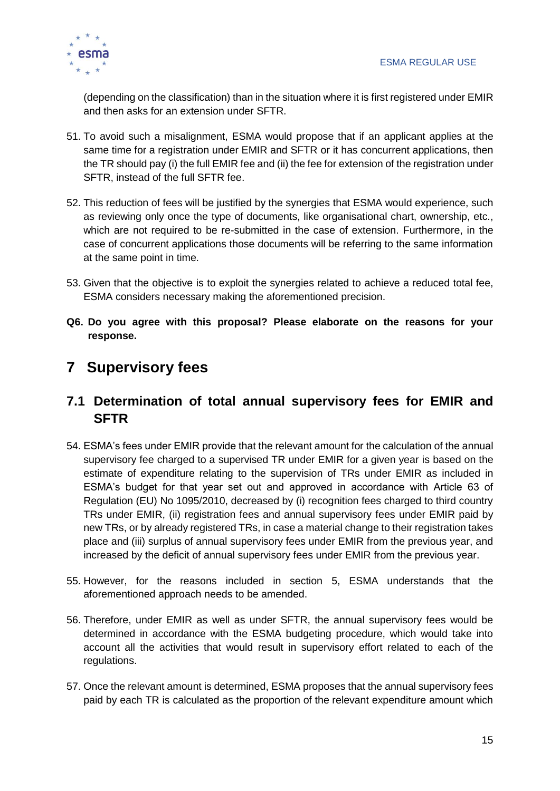

(depending on the classification) than in the situation where it is first registered under EMIR and then asks for an extension under SFTR.

- 51. To avoid such a misalignment, ESMA would propose that if an applicant applies at the same time for a registration under EMIR and SFTR or it has concurrent applications, then the TR should pay (i) the full EMIR fee and (ii) the fee for extension of the registration under SFTR, instead of the full SFTR fee.
- 52. This reduction of fees will be justified by the synergies that ESMA would experience, such as reviewing only once the type of documents, like organisational chart, ownership, etc., which are not required to be re-submitted in the case of extension. Furthermore, in the case of concurrent applications those documents will be referring to the same information at the same point in time.
- 53. Given that the objective is to exploit the synergies related to achieve a reduced total fee, ESMA considers necessary making the aforementioned precision.
- <span id="page-14-2"></span>**Q6. Do you agree with this proposal? Please elaborate on the reasons for your response.**

# <span id="page-14-0"></span>**7 Supervisory fees**

### <span id="page-14-1"></span>**7.1 Determination of total annual supervisory fees for EMIR and SFTR**

- 54. ESMA's fees under EMIR provide that the relevant amount for the calculation of the annual supervisory fee charged to a supervised TR under EMIR for a given year is based on the estimate of expenditure relating to the supervision of TRs under EMIR as included in ESMA's budget for that year set out and approved in accordance with Article 63 of Regulation (EU) No 1095/2010, decreased by (i) recognition fees charged to third country TRs under EMIR, (ii) registration fees and annual supervisory fees under EMIR paid by new TRs, or by already registered TRs, in case a material change to their registration takes place and (iii) surplus of annual supervisory fees under EMIR from the previous year, and increased by the deficit of annual supervisory fees under EMIR from the previous year.
- 55. However, for the reasons included in section [5,](#page-9-1) ESMA understands that the aforementioned approach needs to be amended.
- 56. Therefore, under EMIR as well as under SFTR, the annual supervisory fees would be determined in accordance with the ESMA budgeting procedure, which would take into account all the activities that would result in supervisory effort related to each of the regulations.
- 57. Once the relevant amount is determined, ESMA proposes that the annual supervisory fees paid by each TR is calculated as the proportion of the relevant expenditure amount which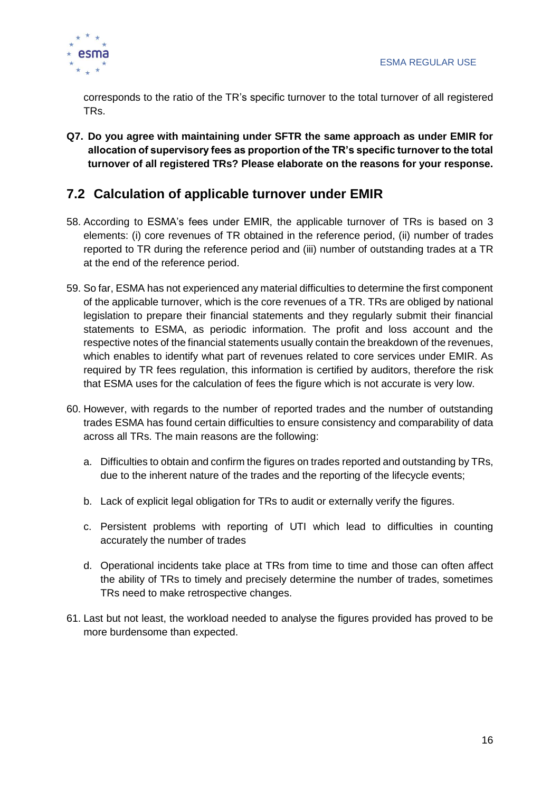

corresponds to the ratio of the TR's specific turnover to the total turnover of all registered TRs.

<span id="page-15-1"></span>**Q7. Do you agree with maintaining under SFTR the same approach as under EMIR for allocation of supervisory fees as proportion of the TR's specific turnover to the total turnover of all registered TRs? Please elaborate on the reasons for your response.**

### <span id="page-15-0"></span>**7.2 Calculation of applicable turnover under EMIR**

- 58. According to ESMA's fees under EMIR, the applicable turnover of TRs is based on 3 elements: (i) core revenues of TR obtained in the reference period, (ii) number of trades reported to TR during the reference period and (iii) number of outstanding trades at a TR at the end of the reference period.
- 59. So far, ESMA has not experienced any material difficulties to determine the first component of the applicable turnover, which is the core revenues of a TR. TRs are obliged by national legislation to prepare their financial statements and they regularly submit their financial statements to ESMA, as periodic information. The profit and loss account and the respective notes of the financial statements usually contain the breakdown of the revenues, which enables to identify what part of revenues related to core services under EMIR. As required by TR fees regulation, this information is certified by auditors, therefore the risk that ESMA uses for the calculation of fees the figure which is not accurate is very low.
- 60. However, with regards to the number of reported trades and the number of outstanding trades ESMA has found certain difficulties to ensure consistency and comparability of data across all TRs. The main reasons are the following:
	- a. Difficulties to obtain and confirm the figures on trades reported and outstanding by TRs, due to the inherent nature of the trades and the reporting of the lifecycle events;
	- b. Lack of explicit legal obligation for TRs to audit or externally verify the figures.
	- c. Persistent problems with reporting of UTI which lead to difficulties in counting accurately the number of trades
	- d. Operational incidents take place at TRs from time to time and those can often affect the ability of TRs to timely and precisely determine the number of trades, sometimes TRs need to make retrospective changes.
- 61. Last but not least, the workload needed to analyse the figures provided has proved to be more burdensome than expected.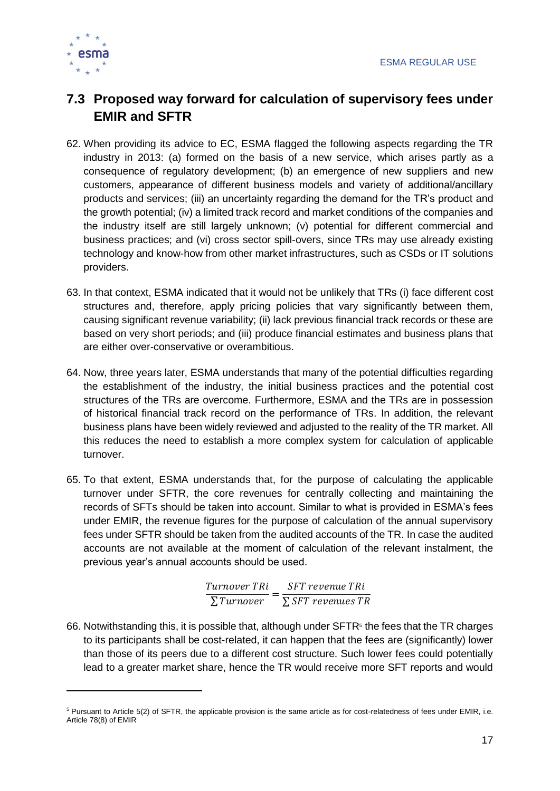

### <span id="page-16-0"></span>**7.3 Proposed way forward for calculation of supervisory fees under EMIR and SFTR**

- 62. When providing its advice to EC, ESMA flagged the following aspects regarding the TR industry in 2013: (a) formed on the basis of a new service, which arises partly as a consequence of regulatory development; (b) an emergence of new suppliers and new customers, appearance of different business models and variety of additional/ancillary products and services; (iii) an uncertainty regarding the demand for the TR's product and the growth potential; (iv) a limited track record and market conditions of the companies and the industry itself are still largely unknown; (v) potential for different commercial and business practices; and (vi) cross sector spill-overs, since TRs may use already existing technology and know-how from other market infrastructures, such as CSDs or IT solutions providers.
- 63. In that context, ESMA indicated that it would not be unlikely that TRs (i) face different cost structures and, therefore, apply pricing policies that vary significantly between them, causing significant revenue variability; (ii) lack previous financial track records or these are based on very short periods; and (iii) produce financial estimates and business plans that are either over-conservative or overambitious.
- 64. Now, three years later, ESMA understands that many of the potential difficulties regarding the establishment of the industry, the initial business practices and the potential cost structures of the TRs are overcome. Furthermore, ESMA and the TRs are in possession of historical financial track record on the performance of TRs. In addition, the relevant business plans have been widely reviewed and adjusted to the reality of the TR market. All this reduces the need to establish a more complex system for calculation of applicable turnover.
- <span id="page-16-1"></span>65. To that extent, ESMA understands that, for the purpose of calculating the applicable turnover under SFTR, the core revenues for centrally collecting and maintaining the records of SFTs should be taken into account. Similar to what is provided in ESMA's fees under EMIR, the revenue figures for the purpose of calculation of the annual supervisory fees under SFTR should be taken from the audited accounts of the TR. In case the audited accounts are not available at the moment of calculation of the relevant instalment, the previous year's annual accounts should be used.

Turnover TRi  $\frac{1}{\sum$ Turnover  $=$ SFT revenue TRi ∑ SFT revenues TR

66. Notwithstanding this, it is possible that, although under  $SFTR<sup>5</sup>$  the fees that the TR charges to its participants shall be cost-related, it can happen that the fees are (significantly) lower than those of its peers due to a different cost structure. Such lower fees could potentially lead to a greater market share, hence the TR would receive more SFT reports and would

<sup>5</sup> Pursuant to Article 5(2) of SFTR, the applicable provision is the same article as for cost-relatedness of fees under EMIR, i.e. Article 78(8) of EMIR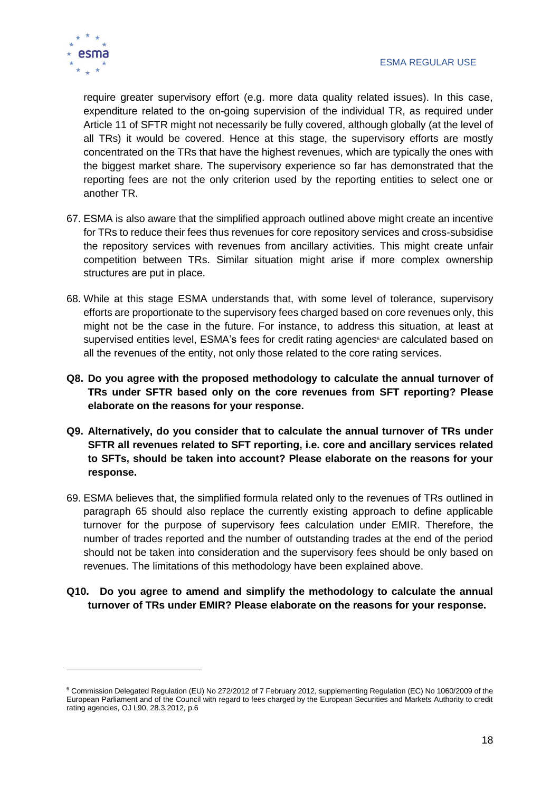

require greater supervisory effort (e.g. more data quality related issues). In this case, expenditure related to the on-going supervision of the individual TR, as required under Article 11 of SFTR might not necessarily be fully covered, although globally (at the level of all TRs) it would be covered. Hence at this stage, the supervisory efforts are mostly concentrated on the TRs that have the highest revenues, which are typically the ones with the biggest market share. The supervisory experience so far has demonstrated that the reporting fees are not the only criterion used by the reporting entities to select one or another TR.

- 67. ESMA is also aware that the simplified approach outlined above might create an incentive for TRs to reduce their fees thus revenues for core repository services and cross-subsidise the repository services with revenues from ancillary activities. This might create unfair competition between TRs. Similar situation might arise if more complex ownership structures are put in place.
- 68. While at this stage ESMA understands that, with some level of tolerance, supervisory efforts are proportionate to the supervisory fees charged based on core revenues only, this might not be the case in the future. For instance, to address this situation, at least at supervised entities level, ESMA's fees for credit rating agencies<sup>6</sup> are calculated based on all the revenues of the entity, not only those related to the core rating services.
- <span id="page-17-0"></span>**Q8. Do you agree with the proposed methodology to calculate the annual turnover of TRs under SFTR based only on the core revenues from SFT reporting? Please elaborate on the reasons for your response.**
- <span id="page-17-1"></span>**Q9. Alternatively, do you consider that to calculate the annual turnover of TRs under SFTR all revenues related to SFT reporting, i.e. core and ancillary services related to SFTs, should be taken into account? Please elaborate on the reasons for your response.**
- 69. ESMA believes that, the simplified formula related only to the revenues of TRs outlined in paragraph [65](#page-16-1) should also replace the currently existing approach to define applicable turnover for the purpose of supervisory fees calculation under EMIR. Therefore, the number of trades reported and the number of outstanding trades at the end of the period should not be taken into consideration and the supervisory fees should be only based on revenues. The limitations of this methodology have been explained above.
- <span id="page-17-2"></span>**Q10. Do you agree to amend and simplify the methodology to calculate the annual turnover of TRs under EMIR? Please elaborate on the reasons for your response.**

<sup>6</sup> Commission Delegated Regulation (EU) No 272/2012 of 7 February 2012, supplementing Regulation (EC) No 1060/2009 of the European Parliament and of the Council with regard to fees charged by the European Securities and Markets Authority to credit rating agencies, OJ L90, 28.3.2012, p.6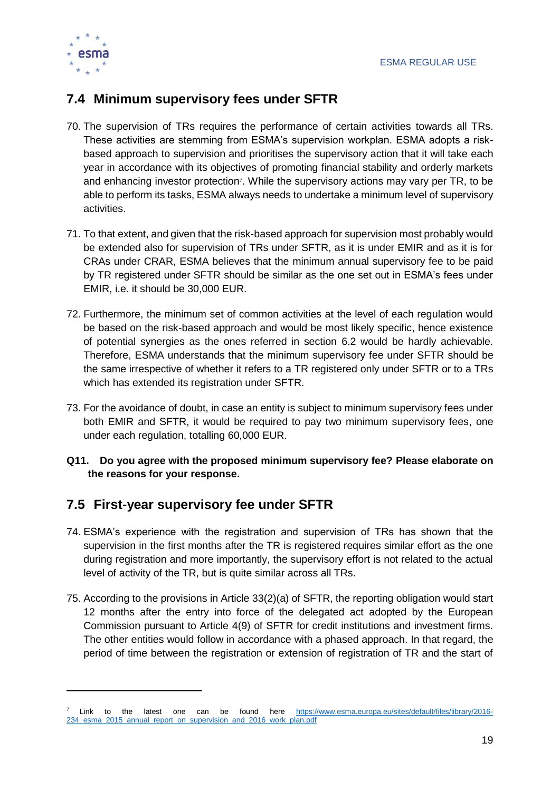

### <span id="page-18-0"></span>**7.4 Minimum supervisory fees under SFTR**

- 70. The supervision of TRs requires the performance of certain activities towards all TRs. These activities are stemming from ESMA's supervision workplan. ESMA adopts a riskbased approach to supervision and prioritises the supervisory action that it will take each year in accordance with its objectives of promoting financial stability and orderly markets and enhancing investor protection<sup>7</sup>. While the supervisory actions may vary per TR, to be able to perform its tasks, ESMA always needs to undertake a minimum level of supervisory activities.
- 71. To that extent, and given that the risk-based approach for supervision most probably would be extended also for supervision of TRs under SFTR, as it is under EMIR and as it is for CRAs under CRAR, ESMA believes that the minimum annual supervisory fee to be paid by TR registered under SFTR should be similar as the one set out in ESMA's fees under EMIR, i.e. it should be 30,000 EUR.
- 72. Furthermore, the minimum set of common activities at the level of each regulation would be based on the risk-based approach and would be most likely specific, hence existence of potential synergies as the ones referred in section [6.2](#page-13-1) would be hardly achievable. Therefore, ESMA understands that the minimum supervisory fee under SFTR should be the same irrespective of whether it refers to a TR registered only under SFTR or to a TRs which has extended its registration under SFTR.
- 73. For the avoidance of doubt, in case an entity is subject to minimum supervisory fees under both EMIR and SFTR, it would be required to pay two minimum supervisory fees, one under each regulation, totalling 60,000 EUR.
- <span id="page-18-2"></span>**Q11. Do you agree with the proposed minimum supervisory fee? Please elaborate on the reasons for your response.**

### <span id="page-18-1"></span>**7.5 First-year supervisory fee under SFTR**

- 74. ESMA's experience with the registration and supervision of TRs has shown that the supervision in the first months after the TR is registered requires similar effort as the one during registration and more importantly, the supervisory effort is not related to the actual level of activity of the TR, but is quite similar across all TRs.
- 75. According to the provisions in Article 33(2)(a) of SFTR, the reporting obligation would start 12 months after the entry into force of the delegated act adopted by the European Commission pursuant to Article 4(9) of SFTR for credit institutions and investment firms. The other entities would follow in accordance with a phased approach. In that regard, the period of time between the registration or extension of registration of TR and the start of

Link to the latest one can be found here [https://www.esma.europa.eu/sites/default/files/library/2016-](https://www.esma.europa.eu/sites/default/files/library/2016-234_esma_2015_annual_report_on_supervision_and_2016_work_plan.pdf) [234\\_esma\\_2015\\_annual\\_report\\_on\\_supervision\\_and\\_2016\\_work\\_plan.pdf](https://www.esma.europa.eu/sites/default/files/library/2016-234_esma_2015_annual_report_on_supervision_and_2016_work_plan.pdf)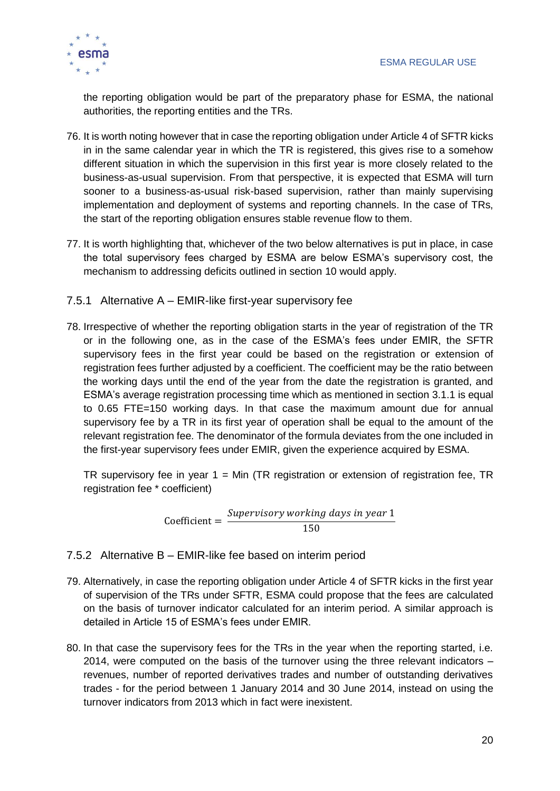

the reporting obligation would be part of the preparatory phase for ESMA, the national authorities, the reporting entities and the TRs.

- 76. It is worth noting however that in case the reporting obligation under Article 4 of SFTR kicks in in the same calendar year in which the TR is registered, this gives rise to a somehow different situation in which the supervision in this first year is more closely related to the business-as-usual supervision. From that perspective, it is expected that ESMA will turn sooner to a business-as-usual risk-based supervision, rather than mainly supervising implementation and deployment of systems and reporting channels. In the case of TRs, the start of the reporting obligation ensures stable revenue flow to them.
- 77. It is worth highlighting that, whichever of the two below alternatives is put in place, in case the total supervisory fees charged by ESMA are below ESMA's supervisory cost, the mechanism to addressing deficits outlined in section [10](#page-23-0) would apply.
- <span id="page-19-0"></span>7.5.1 Alternative A – EMIR-like first-year supervisory fee
- 78. Irrespective of whether the reporting obligation starts in the year of registration of the TR or in the following one, as in the case of the ESMA's fees under EMIR, the SFTR supervisory fees in the first year could be based on the registration or extension of registration fees further adjusted by a coefficient. The coefficient may be the ratio between the working days until the end of the year from the date the registration is granted, and ESMA's average registration processing time which as mentioned in section [3.1.1](#page-7-1) is equal to 0.65 FTE=150 working days. In that case the maximum amount due for annual supervisory fee by a TR in its first year of operation shall be equal to the amount of the relevant registration fee. The denominator of the formula deviates from the one included in the first-year supervisory fees under EMIR, given the experience acquired by ESMA.

TR supervisory fee in year  $1 = Min$  (TR registration or extension of registration fee, TR registration fee \* coefficient)

Coefficient = 
$$
\frac{Supporty working \ days \ in \ year \ 1}{150}
$$

#### <span id="page-19-1"></span>7.5.2 Alternative B – EMIR-like fee based on interim period

- 79. Alternatively, in case the reporting obligation under Article 4 of SFTR kicks in the first year of supervision of the TRs under SFTR, ESMA could propose that the fees are calculated on the basis of turnover indicator calculated for an interim period. A similar approach is detailed in Article 15 of ESMA's fees under EMIR.
- 80. In that case the supervisory fees for the TRs in the year when the reporting started, i.e. 2014, were computed on the basis of the turnover using the three relevant indicators – revenues, number of reported derivatives trades and number of outstanding derivatives trades - for the period between 1 January 2014 and 30 June 2014, instead on using the turnover indicators from 2013 which in fact were inexistent.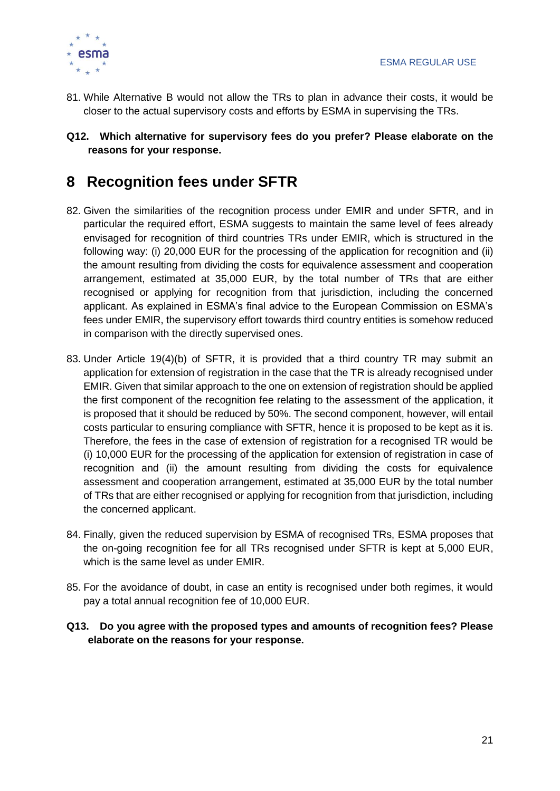

- 81. While Alternative B would not allow the TRs to plan in advance their costs, it would be closer to the actual supervisory costs and efforts by ESMA in supervising the TRs.
- <span id="page-20-1"></span>**Q12. Which alternative for supervisory fees do you prefer? Please elaborate on the reasons for your response.**

# <span id="page-20-0"></span>**8 Recognition fees under SFTR**

- 82. Given the similarities of the recognition process under EMIR and under SFTR, and in particular the required effort, ESMA suggests to maintain the same level of fees already envisaged for recognition of third countries TRs under EMIR, which is structured in the following way: (i) 20,000 EUR for the processing of the application for recognition and (ii) the amount resulting from dividing the costs for equivalence assessment and cooperation arrangement, estimated at 35,000 EUR, by the total number of TRs that are either recognised or applying for recognition from that jurisdiction, including the concerned applicant. As explained in ESMA's final advice to the European Commission on ESMA's fees under EMIR, the supervisory effort towards third country entities is somehow reduced in comparison with the directly supervised ones.
- 83. Under Article 19(4)(b) of SFTR, it is provided that a third country TR may submit an application for extension of registration in the case that the TR is already recognised under EMIR. Given that similar approach to the one on extension of registration should be applied the first component of the recognition fee relating to the assessment of the application, it is proposed that it should be reduced by 50%. The second component, however, will entail costs particular to ensuring compliance with SFTR, hence it is proposed to be kept as it is. Therefore, the fees in the case of extension of registration for a recognised TR would be (i) 10,000 EUR for the processing of the application for extension of registration in case of recognition and (ii) the amount resulting from dividing the costs for equivalence assessment and cooperation arrangement, estimated at 35,000 EUR by the total number of TRs that are either recognised or applying for recognition from that jurisdiction, including the concerned applicant.
- 84. Finally, given the reduced supervision by ESMA of recognised TRs, ESMA proposes that the on-going recognition fee for all TRs recognised under SFTR is kept at 5,000 EUR, which is the same level as under EMIR.
- 85. For the avoidance of doubt, in case an entity is recognised under both regimes, it would pay a total annual recognition fee of 10,000 EUR.
- <span id="page-20-2"></span>**Q13. Do you agree with the proposed types and amounts of recognition fees? Please elaborate on the reasons for your response.**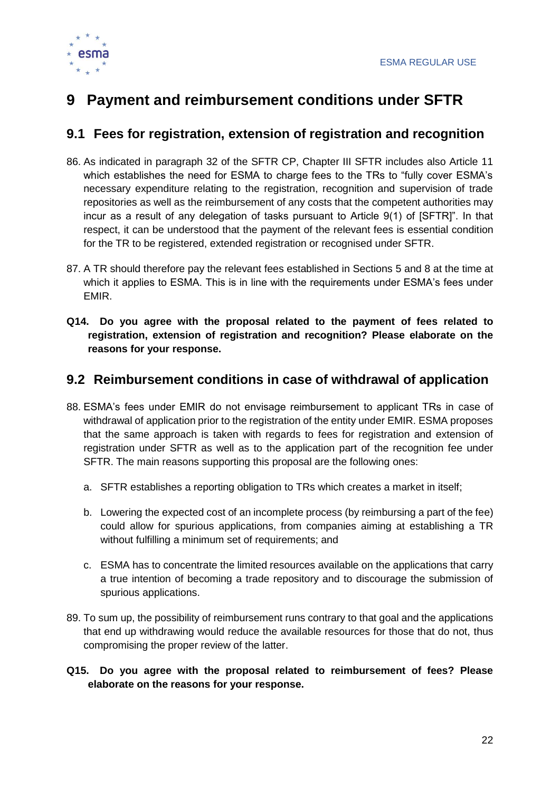

# <span id="page-21-0"></span>**9 Payment and reimbursement conditions under SFTR**

### <span id="page-21-1"></span>**9.1 Fees for registration, extension of registration and recognition**

- 86. As indicated in paragraph 32 of the SFTR CP, Chapter III SFTR includes also Article 11 which establishes the need for ESMA to charge fees to the TRs to "fully cover ESMA's necessary expenditure relating to the registration, recognition and supervision of trade repositories as well as the reimbursement of any costs that the competent authorities may incur as a result of any delegation of tasks pursuant to Article 9(1) of [SFTR]". In that respect, it can be understood that the payment of the relevant fees is essential condition for the TR to be registered, extended registration or recognised under SFTR.
- 87. A TR should therefore pay the relevant fees established in Sections [5](#page-9-1) and [8](#page-20-0) at the time at which it applies to ESMA. This is in line with the requirements under ESMA's fees under EMIR.
- <span id="page-21-3"></span>**Q14. Do you agree with the proposal related to the payment of fees related to registration, extension of registration and recognition? Please elaborate on the reasons for your response.**

#### <span id="page-21-2"></span>**9.2 Reimbursement conditions in case of withdrawal of application**

- 88. ESMA's fees under EMIR do not envisage reimbursement to applicant TRs in case of withdrawal of application prior to the registration of the entity under EMIR. ESMA proposes that the same approach is taken with regards to fees for registration and extension of registration under SFTR as well as to the application part of the recognition fee under SFTR. The main reasons supporting this proposal are the following ones:
	- a. SFTR establishes a reporting obligation to TRs which creates a market in itself;
	- b. Lowering the expected cost of an incomplete process (by reimbursing a part of the fee) could allow for spurious applications, from companies aiming at establishing a TR without fulfilling a minimum set of requirements; and
	- c. ESMA has to concentrate the limited resources available on the applications that carry a true intention of becoming a trade repository and to discourage the submission of spurious applications.
- 89. To sum up, the possibility of reimbursement runs contrary to that goal and the applications that end up withdrawing would reduce the available resources for those that do not, thus compromising the proper review of the latter.
- <span id="page-21-4"></span>**Q15. Do you agree with the proposal related to reimbursement of fees? Please elaborate on the reasons for your response.**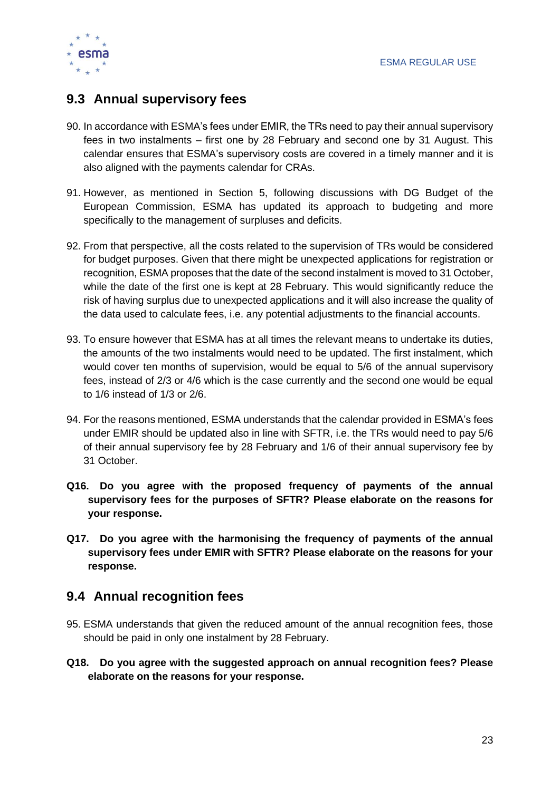

### <span id="page-22-0"></span>**9.3 Annual supervisory fees**

- 90. In accordance with ESMA's fees under EMIR, the TRs need to pay their annual supervisory fees in two instalments – first one by 28 February and second one by 31 August. This calendar ensures that ESMA's supervisory costs are covered in a timely manner and it is also aligned with the payments calendar for CRAs.
- 91. However, as mentioned in Section [5,](#page-9-1) following discussions with DG Budget of the European Commission, ESMA has updated its approach to budgeting and more specifically to the management of surpluses and deficits.
- 92. From that perspective, all the costs related to the supervision of TRs would be considered for budget purposes. Given that there might be unexpected applications for registration or recognition, ESMA proposes that the date of the second instalment is moved to 31 October, while the date of the first one is kept at 28 February. This would significantly reduce the risk of having surplus due to unexpected applications and it will also increase the quality of the data used to calculate fees, i.e. any potential adjustments to the financial accounts.
- 93. To ensure however that ESMA has at all times the relevant means to undertake its duties, the amounts of the two instalments would need to be updated. The first instalment, which would cover ten months of supervision, would be equal to 5/6 of the annual supervisory fees, instead of 2/3 or 4/6 which is the case currently and the second one would be equal to 1/6 instead of 1/3 or 2/6.
- 94. For the reasons mentioned, ESMA understands that the calendar provided in ESMA's fees under EMIR should be updated also in line with SFTR, i.e. the TRs would need to pay 5/6 of their annual supervisory fee by 28 February and 1/6 of their annual supervisory fee by 31 October.
- <span id="page-22-2"></span>**Q16. Do you agree with the proposed frequency of payments of the annual supervisory fees for the purposes of SFTR? Please elaborate on the reasons for your response.**
- <span id="page-22-3"></span>**Q17. Do you agree with the harmonising the frequency of payments of the annual supervisory fees under EMIR with SFTR? Please elaborate on the reasons for your response.**

#### <span id="page-22-1"></span>**9.4 Annual recognition fees**

- 95. ESMA understands that given the reduced amount of the annual recognition fees, those should be paid in only one instalment by 28 February.
- <span id="page-22-4"></span>**Q18. Do you agree with the suggested approach on annual recognition fees? Please elaborate on the reasons for your response.**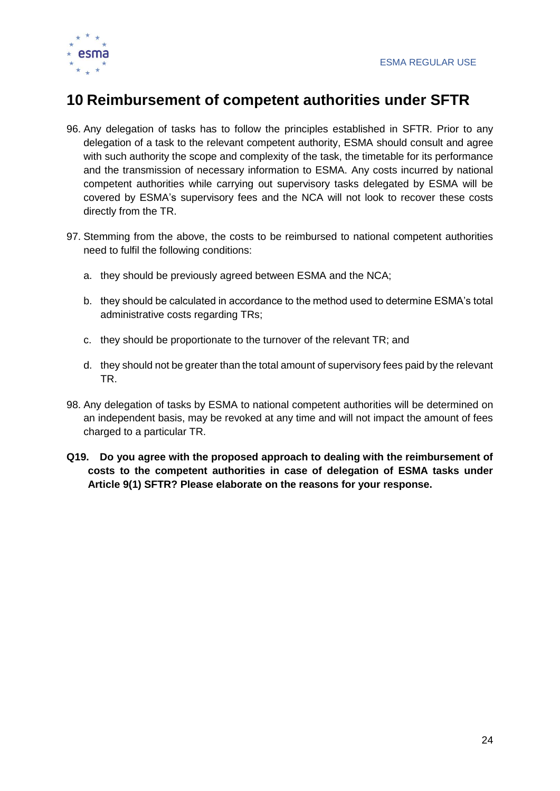

# <span id="page-23-0"></span>**10 Reimbursement of competent authorities under SFTR**

- 96. Any delegation of tasks has to follow the principles established in SFTR. Prior to any delegation of a task to the relevant competent authority, ESMA should consult and agree with such authority the scope and complexity of the task, the timetable for its performance and the transmission of necessary information to ESMA. Any costs incurred by national competent authorities while carrying out supervisory tasks delegated by ESMA will be covered by ESMA's supervisory fees and the NCA will not look to recover these costs directly from the TR.
- 97. Stemming from the above, the costs to be reimbursed to national competent authorities need to fulfil the following conditions:
	- a. they should be previously agreed between ESMA and the NCA;
	- b. they should be calculated in accordance to the method used to determine ESMA's total administrative costs regarding TRs;
	- c. they should be proportionate to the turnover of the relevant TR; and
	- d. they should not be greater than the total amount of supervisory fees paid by the relevant TR.
- 98. Any delegation of tasks by ESMA to national competent authorities will be determined on an independent basis, may be revoked at any time and will not impact the amount of fees charged to a particular TR.
- <span id="page-23-1"></span>**Q19. Do you agree with the proposed approach to dealing with the reimbursement of costs to the competent authorities in case of delegation of ESMA tasks under Article 9(1) SFTR? Please elaborate on the reasons for your response.**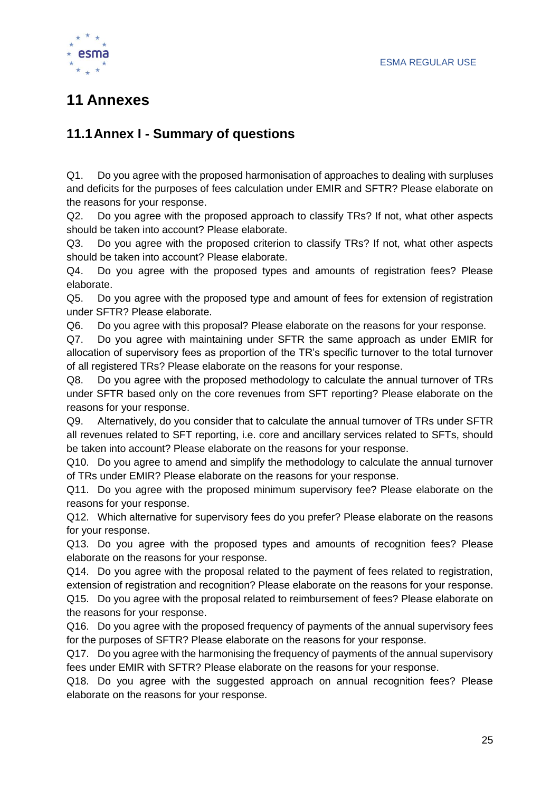

# <span id="page-24-0"></span>**11 Annexes**

### <span id="page-24-1"></span>**11.1Annex I - Summary of questions**

Q1. [Do you agree with the proposed harmonisation of approaches to dealing with surpluses](#page-10-2)  [and deficits for the purposes of fees calculation under EMIR and SFTR? Please elaborate on](#page-10-2)  [the reasons for your response.](#page-10-2)

Q2. [Do you agree with the proposed approach to classify TRs? If not, what other aspects](#page-12-2)  [should be taken into account? Please elaborate.](#page-12-2)

Q3. [Do you agree with the proposed criterion to classify TRs? If not, what other aspects](#page-12-3)  [should be taken into account? Please elaborate.](#page-12-3)

Q4. [Do you agree with the proposed types and amounts of registration fees? Please](#page-13-2)  [elaborate.](#page-13-2)

Q5. [Do you agree with the proposed type and amount of fees for extension of registration](#page-13-3)  [under SFTR? Please elaborate.](#page-13-3)

Q6. [Do you agree with this proposal? Please elaborate on the reasons for your response.](#page-14-2)

Q7. [Do you agree with maintaining under SFTR the same approach as under EMIR for](#page-15-1)  [allocation of supervisory fees as proportion of the TR's specific turnover to the total turnover](#page-15-1)  [of all registered TRs? Please elaborate on the reasons for your response.](#page-15-1)

Q8. [Do you agree with the proposed methodology to calculate the annual turnover of TRs](#page-17-0)  [under SFTR based only on the core revenues from SFT reporting? Please elaborate on the](#page-17-0)  [reasons for your response.](#page-17-0)

Q9. [Alternatively, do you consider that to calculate the annual turnover of TRs under SFTR](#page-17-1)  [all revenues related to SFT reporting, i.e. core and ancillary services related to SFTs, should](#page-17-1)  [be taken into account? Please elaborate on the reasons for your response.](#page-17-1)

Q10. [Do you agree to amend and simplify the methodology to calculate the annual turnover](#page-17-2)  [of TRs under EMIR? Please elaborate on the reasons for your response.](#page-17-2)

Q11. [Do you agree with the proposed minimum supervisory fee? Please elaborate on the](#page-18-2)  [reasons for your response.](#page-18-2)

Q12. [Which alternative for supervisory fees do you prefer? Please elaborate on the reasons](#page-20-1)  [for your response.](#page-20-1)

Q13. [Do you agree with the proposed types and amounts of recognition fees? Please](#page-20-2)  [elaborate on the reasons for your response.](#page-20-2)

Q14. [Do you agree with the proposal related to the payment of fees related to registration,](#page-21-3)  [extension of registration and recognition? Please elaborate on the reasons for your response.](#page-21-3)

Q15. [Do you agree with the proposal related to reimbursement of fees? Please elaborate on](#page-21-4)  [the reasons for your response.](#page-21-4)

Q16. [Do you agree with the proposed frequency of payments of the annual supervisory fees](#page-22-2)  [for the purposes of SFTR? Please elaborate on the reasons for your response.](#page-22-2)

Q17. [Do you agree with the harmonising the frequency of payments of the annual supervisory](#page-22-3)  fees [under EMIR with SFTR? Please elaborate on the reasons for your response.](#page-22-3)

Q18. [Do you agree with the suggested approach on annual recognition fees? Please](#page-22-4)  [elaborate on the reasons for your response.](#page-22-4)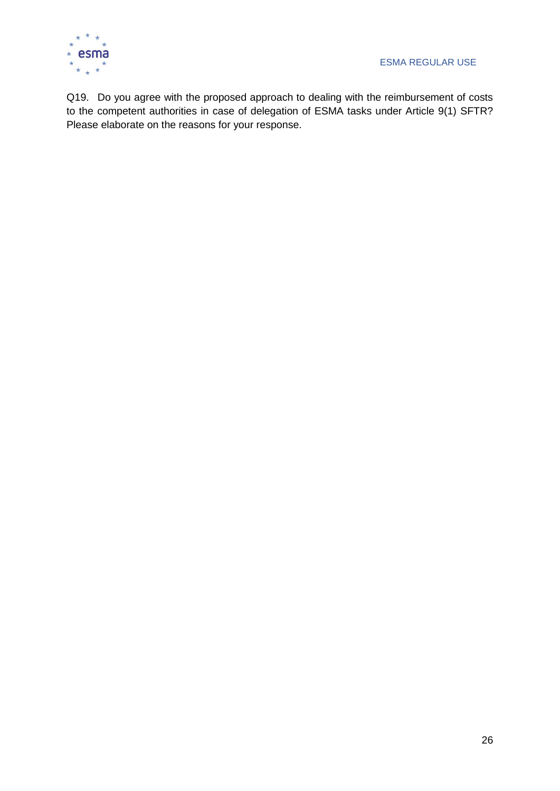

Q19. [Do you agree with the proposed approach to dealing with the reimbursement of costs](#page-23-1)  [to the competent authorities in case of delegation of ESMA tasks under Article 9\(1\) SFTR?](#page-23-1)  [Please elaborate on the reasons for your response.](#page-23-1)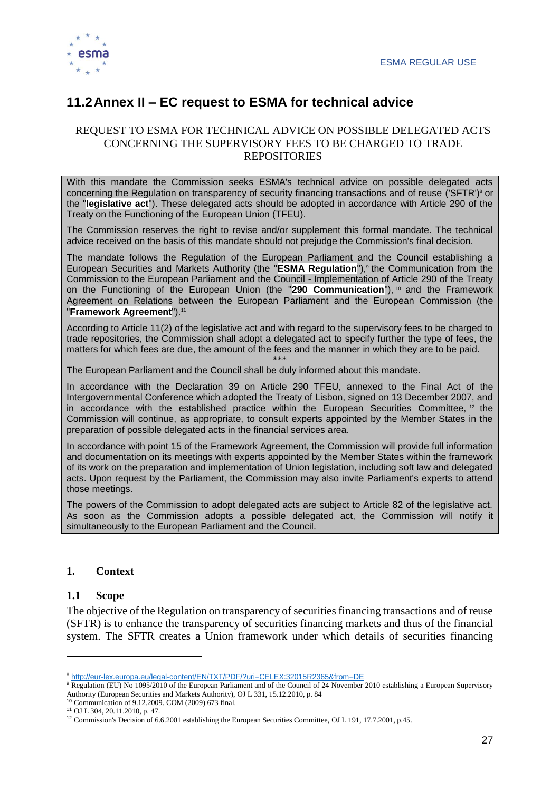

### <span id="page-26-0"></span>**11.2Annex II – EC request to ESMA for technical advice**

#### REQUEST TO ESMA FOR TECHNICAL ADVICE ON POSSIBLE DELEGATED ACTS CONCERNING THE SUPERVISORY FEES TO BE CHARGED TO TRADE REPOSITORIES

With this mandate the Commission seeks ESMA's technical advice on possible delegated acts concerning the Regulation on transparency of security financing transactions and of reuse ('SFTR')<sup>8</sup> or the "**legislative act**"). These delegated acts should be adopted in accordance with Article 290 of the Treaty on the Functioning of the European Union (TFEU).

The Commission reserves the right to revise and/or supplement this formal mandate. The technical advice received on the basis of this mandate should not prejudge the Commission's final decision.

The mandate follows the Regulation of the European Parliament and the Council establishing a European Securities and Markets Authority (the "**ESMA Regulation**"),<sup>9</sup> the Communication from the Commission to the European Parliament and the Council - Implementation of Article 290 of the Treaty on the Functioning of the European Union (the "290 Communication"), <sup>10</sup> and the Framework Agreement on Relations between the European Parliament and the European Commission (the "**Framework Agreement**").<sup>11</sup>

According to Article 11(2) of the legislative act and with regard to the supervisory fees to be charged to trade repositories, the Commission shall adopt a delegated act to specify further the type of fees, the matters for which fees are due, the amount of the fees and the manner in which they are to be paid.

\*\*\* The European Parliament and the Council shall be duly informed about this mandate.

In accordance with the Declaration 39 on Article 290 TFEU, annexed to the Final Act of the Intergovernmental Conference which adopted the Treaty of Lisbon, signed on 13 December 2007, and in accordance with the established practice within the European Securities Committee, <sup>12</sup> the Commission will continue, as appropriate, to consult experts appointed by the Member States in the preparation of possible delegated acts in the financial services area.

In accordance with point 15 of the Framework Agreement, the Commission will provide full information and documentation on its meetings with experts appointed by the Member States within the framework of its work on the preparation and implementation of Union legislation, including soft law and delegated acts. Upon request by the Parliament, the Commission may also invite Parliament's experts to attend those meetings.

The powers of the Commission to adopt delegated acts are subject to Article 82 of the legislative act. As soon as the Commission adopts a possible delegated act, the Commission will notify it simultaneously to the European Parliament and the Council.

#### **1. Context**

#### **1.1 Scope**

-

The objective of the Regulation on transparency of securities financing transactions and of reuse (SFTR) is to enhance the transparency of securities financing markets and thus of the financial system. The SFTR creates a Union framework under which details of securities financing

<sup>8</sup> <http://eur-lex.europa.eu/legal-content/EN/TXT/PDF/?uri=CELEX:32015R2365&from=DE>

<sup>&</sup>lt;sup>9</sup> Regulation (EU) No 1095/2010 of the European Parliament and of the Council of 24 November 2010 establishing a European Supervisory Authority (European Securities and Markets Authority), OJ L 331, 15.12.2010, p. 84

<sup>10</sup> Communication of 9.12.2009. COM (2009) 673 final.

<sup>11</sup> OJ L 304, 20.11.2010, p. 47.

<sup>&</sup>lt;sup>12</sup> Commission's Decision of 6.6.2001 establishing the European Securities Committee, OJ L 191, 17.7.2001, p.45.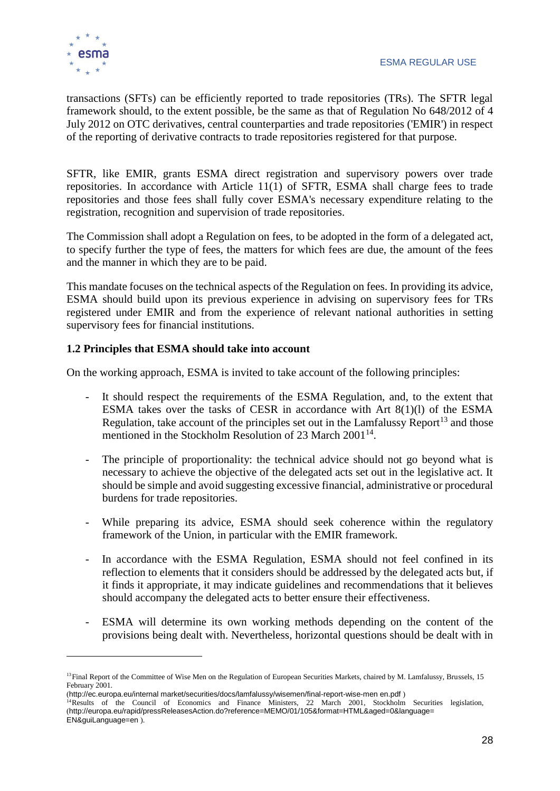transactions (SFTs) can be efficiently reported to trade repositories (TRs). The SFTR legal framework should, to the extent possible, be the same as that of Regulation No 648/2012 of 4 July 2012 on OTC derivatives, central counterparties and trade repositories ('EMIR') in respect of the reporting of derivative contracts to trade repositories registered for that purpose.

SFTR, like EMIR, grants ESMA direct registration and supervisory powers over trade repositories. In accordance with Article 11(1) of SFTR, ESMA shall charge fees to trade repositories and those fees shall fully cover ESMA's necessary expenditure relating to the registration, recognition and supervision of trade repositories.

The Commission shall adopt a Regulation on fees, to be adopted in the form of a delegated act, to specify further the type of fees, the matters for which fees are due, the amount of the fees and the manner in which they are to be paid.

This mandate focuses on the technical aspects of the Regulation on fees. In providing its advice, ESMA should build upon its previous experience in advising on supervisory fees for TRs registered under EMIR and from the experience of relevant national authorities in setting supervisory fees for financial institutions.

#### **1.2 Principles that ESMA should take into account**

On the working approach, ESMA is invited to take account of the following principles:

- It should respect the requirements of the ESMA Regulation, and, to the extent that ESMA takes over the tasks of CESR in accordance with Art 8(1)(l) of the ESMA Regulation, take account of the principles set out in the Lamfalussy Report<sup>13</sup> and those mentioned in the Stockholm Resolution of 23 March 2001<sup>14</sup>.
- The principle of proportionality: the technical advice should not go beyond what is necessary to achieve the objective of the delegated acts set out in the legislative act. It should be simple and avoid suggesting excessive financial, administrative or procedural burdens for trade repositories.
- While preparing its advice, ESMA should seek coherence within the regulatory framework of the Union, in particular with the EMIR framework.
- In accordance with the ESMA Regulation, ESMA should not feel confined in its reflection to elements that it considers should be addressed by the delegated acts but, if it finds it appropriate, it may indicate guidelines and recommendations that it believes should accompany the delegated acts to better ensure their effectiveness.
- ESMA will determine its own working methods depending on the content of the provisions being dealt with. Nevertheless, horizontal questions should be dealt with in

<sup>&</sup>lt;sup>13</sup>Final Report of the Committee of Wise Men on the Regulation of European Securities Markets, chaired by M. Lamfalussy, Brussels, 15 February 2001.

<sup>(</sup>[http://ec.europa.eu/internal market/securities/docs/lamfalussy/wisemen/final-report-wise-men en.pdf](http://ec.europa.eu/internal_market/securities/docs/lamfalussy/wisemen/final-report-wise-men_en.pdf) )

<sup>&</sup>lt;sup>14</sup>Results of the Council of Economics and Finance Ministers, 22 March 2001, Stockholm Securities legislation, (http://europa.eu/rapid/pressReleasesAction.do?reference=MEMO/01/105&format=HTML&aged=0&language= EN&guiLanguage=en ).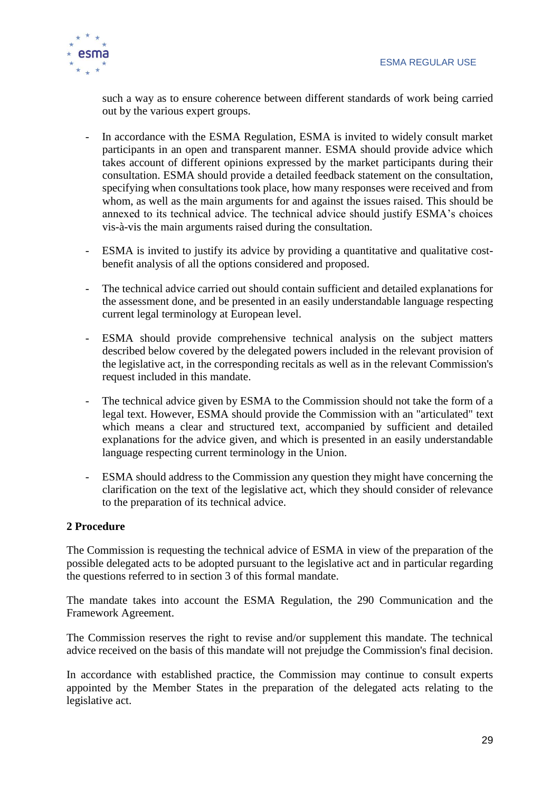

such a way as to ensure coherence between different standards of work being carried out by the various expert groups.

- In accordance with the ESMA Regulation, ESMA is invited to widely consult market participants in an open and transparent manner. ESMA should provide advice which takes account of different opinions expressed by the market participants during their consultation. ESMA should provide a detailed feedback statement on the consultation, specifying when consultations took place, how many responses were received and from whom, as well as the main arguments for and against the issues raised. This should be annexed to its technical advice. The technical advice should justify ESMA's choices vis-à-vis the main arguments raised during the consultation.
- ESMA is invited to justify its advice by providing a quantitative and qualitative costbenefit analysis of all the options considered and proposed.
- The technical advice carried out should contain sufficient and detailed explanations for the assessment done, and be presented in an easily understandable language respecting current legal terminology at European level.
- ESMA should provide comprehensive technical analysis on the subject matters described below covered by the delegated powers included in the relevant provision of the legislative act, in the corresponding recitals as well as in the relevant Commission's request included in this mandate.
- The technical advice given by ESMA to the Commission should not take the form of a legal text. However, ESMA should provide the Commission with an "articulated" text which means a clear and structured text, accompanied by sufficient and detailed explanations for the advice given, and which is presented in an easily understandable language respecting current terminology in the Union.
- ESMA should address to the Commission any question they might have concerning the clarification on the text of the legislative act, which they should consider of relevance to the preparation of its technical advice.

#### **2 Procedure**

The Commission is requesting the technical advice of ESMA in view of the preparation of the possible delegated acts to be adopted pursuant to the legislative act and in particular regarding the questions referred to in section 3 of this formal mandate.

The mandate takes into account the ESMA Regulation, the 290 Communication and the Framework Agreement.

The Commission reserves the right to revise and/or supplement this mandate. The technical advice received on the basis of this mandate will not prejudge the Commission's final decision.

In accordance with established practice, the Commission may continue to consult experts appointed by the Member States in the preparation of the delegated acts relating to the legislative act.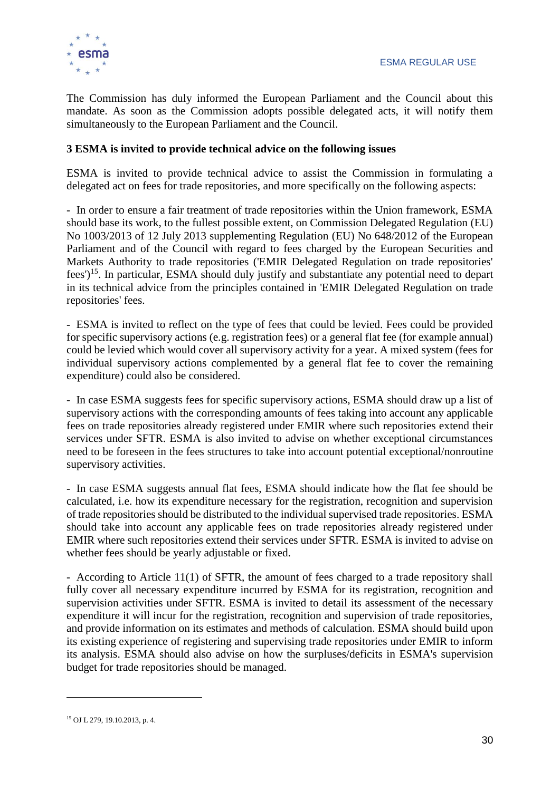

The Commission has duly informed the European Parliament and the Council about this mandate. As soon as the Commission adopts possible delegated acts, it will notify them simultaneously to the European Parliament and the Council.

#### **3 ESMA is invited to provide technical advice on the following issues**

ESMA is invited to provide technical advice to assist the Commission in formulating a delegated act on fees for trade repositories, and more specifically on the following aspects:

- In order to ensure a fair treatment of trade repositories within the Union framework, ESMA should base its work, to the fullest possible extent, on Commission Delegated Regulation (EU) No 1003/2013 of 12 July 2013 supplementing Regulation (EU) No 648/2012 of the European Parliament and of the Council with regard to fees charged by the European Securities and Markets Authority to trade repositories ('EMIR Delegated Regulation on trade repositories' fees')<sup>15</sup>. In particular, ESMA should duly justify and substantiate any potential need to depart in its technical advice from the principles contained in 'EMIR Delegated Regulation on trade repositories' fees.

- ESMA is invited to reflect on the type of fees that could be levied. Fees could be provided for specific supervisory actions (e.g. registration fees) or a general flat fee (for example annual) could be levied which would cover all supervisory activity for a year. A mixed system (fees for individual supervisory actions complemented by a general flat fee to cover the remaining expenditure) could also be considered.

- In case ESMA suggests fees for specific supervisory actions, ESMA should draw up a list of supervisory actions with the corresponding amounts of fees taking into account any applicable fees on trade repositories already registered under EMIR where such repositories extend their services under SFTR. ESMA is also invited to advise on whether exceptional circumstances need to be foreseen in the fees structures to take into account potential exceptional/nonroutine supervisory activities.

- In case ESMA suggests annual flat fees, ESMA should indicate how the flat fee should be calculated, i.e. how its expenditure necessary for the registration, recognition and supervision of trade repositories should be distributed to the individual supervised trade repositories. ESMA should take into account any applicable fees on trade repositories already registered under EMIR where such repositories extend their services under SFTR. ESMA is invited to advise on whether fees should be yearly adjustable or fixed.

- According to Article 11(1) of SFTR, the amount of fees charged to a trade repository shall fully cover all necessary expenditure incurred by ESMA for its registration, recognition and supervision activities under SFTR. ESMA is invited to detail its assessment of the necessary expenditure it will incur for the registration, recognition and supervision of trade repositories, and provide information on its estimates and methods of calculation. ESMA should build upon its existing experience of registering and supervising trade repositories under EMIR to inform its analysis. ESMA should also advise on how the surpluses/deficits in ESMA's supervision budget for trade repositories should be managed.

-

<sup>15</sup> OJ L 279, 19.10.2013, p. 4.